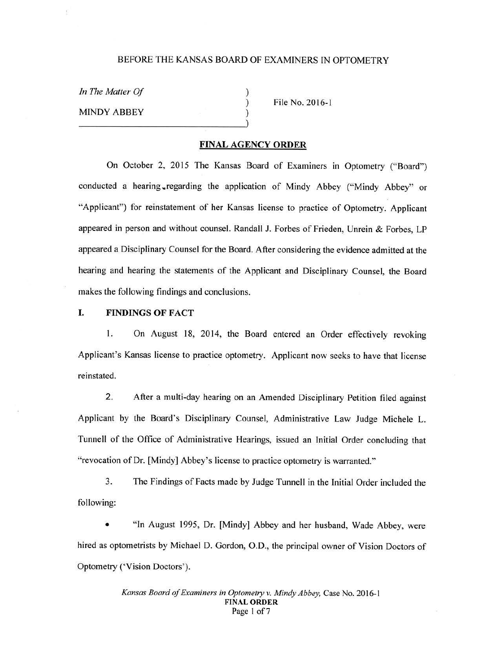## BEFORE THE KANSAS BOARD OF EXAMINERS IN OPTOMETRY

) ) )

*In The Matter Of*  MINDY ABBEY

File No. 2016-1

### **FINAL AGENCY ORDER**

On October 2, 2015 The Kansas Board of Examiners in Optometry ("Board") conducted a hearing regarding the application of Mindy Abbey ("Mindy Abbey" or "Applicant") for reinstatement of her Kansas license to practice of Optometry. Applicant appeared in person and without counsel. Randall J. Forbes of Frieden, Unrein & Forbes, LP appeared a Disciplinary Counsel for the Board. After considering the evidence admitted at the hearing and hearing the statements of the Applicant and Disciplinary Counsel, the Board makes the following findings and conclusions.

### I. **FINDINGS OF FACT**

l. On August 18, 2014, the Board entered an Order effectively revoking Applicant's Kansas license to practice optometry. Applicant now seeks to have that license reinstated.

2. After a multi-day hearing on an Amended Disciplinary Petition filed against Applicant by the Board's Disciplinary Counsel, Administrative Law Judge Michele L. Tunnell of the Office of Administrative Hearings, issued an Initial Order concluding that " revocation of Dr. [Mindy] Abbey's license to practice optometry is warranted."

3. The Findings of Facts made by Judge Tunnell in the Initial Order included the following:

• "In August 1995, Dr. [Mindy] Abbey and her husband, Wade Abbey, were hired as optometrists by Michael D. Gordon, O.D., the principal owner of Vision Doctors of Optometry ('Vision Doctors').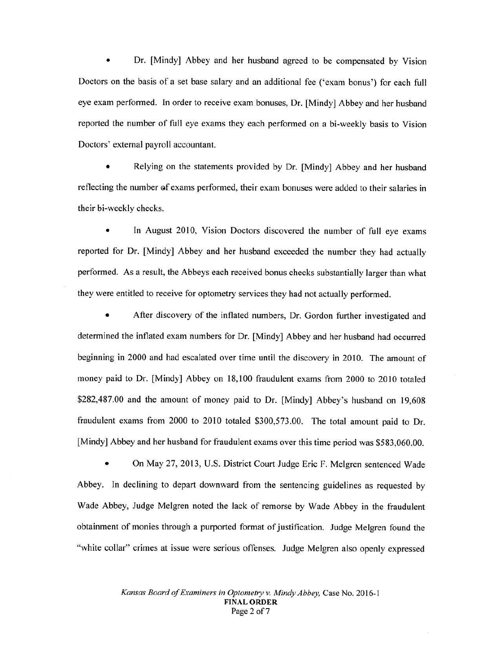• Dr. [Mindy] Abbey and her husband agreed to be compensated by Vision Doctors on the basis of a set base salary and an additional fee ('exam bonus') for each full eye exam performed. In order to receive exam bonuses, Dr. [Mindy] Abbey and her husband reported the number of full eye exams they each performed on a bi-weekly basis to Vision Doctors' external payroll accountant.

Relying on the statements provided by Dr. [Mindy] Abbey and her husband reflecting the number of exams performed, their exam bonuses were added to their salaries in their bi-weekly checks.

In August 2010, Vision Doctors discovered the number of full eye exams reported for Dr. [Mindy] Abbey and her husband exceeded the number they had actually performed. As a result, the Abbeys each received bonus checks substantially larger than what they were entitled to receive for optometry services they had not actually performed.

• After discovery of the inflated numbers, Dr. Gordon further investigated and determined the inflated exam numbers for Dr. [Mindy] Abbey and her husband had occurred beginning in 2000 and had escalated over time until the discovery in 2010. The amount of money paid to Dr. [Mindy] Abbey on 18, 100 fraudulent exams from 2000 to 2010 totaled \$282,487.00 and the amount of money paid to Dr. [Mindy] Abbey's husband on 19,608 fraudulent exams from 2000 to 2010 totaled \$300,573.00. The total amount paid to Dr. [Mindy] Abbey and her husband for fraudulent exams over this time period was \$583,060.00.

• On May 27, 2013, U.S. District Court Judge Eric F. Melgren sentenced Wade Abbey. In declining to depart downward from the sentencing guidelines as requested by Wade Abbey, Judge Melgren noted the lack of remorse by Wade Abbey in the fraudulent obtainment of monies through a purported format of justification. Judge Melgren found the "white collar" crimes at issue were serious offenses. Judge Melgren also openly expressed

> *Kansas Board of Examiners in Optometry v. Mindy Abbey,* Case No. 2016-1 **FINAL ORDER**  Page 2 of 7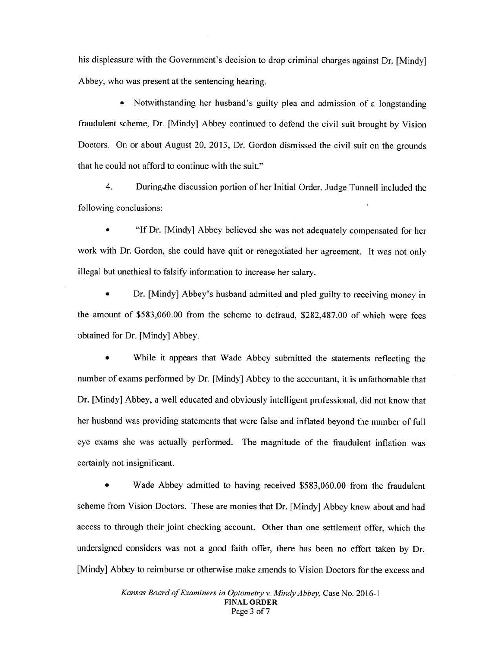his displeasure with the Government's decision to drop criminal charges against Dr. [Mindy] Abbey, who was present at the sentencing hearing.

• Notwithstanding her husband's guilty plea and admission of a longstanding fraudulent scheme, Dr. [Mindy] Abbey continued to defend the civil suit brought by Vision Doctors. On or about August 20, 2013, Dr. Gordon dismissed the civil suit on the grounds that he could not afford to continue with the suit."

4. During.the discussion portion of her Initial Order, Judge Tunnell included the following conclusions:

• "If Dr. [Mindy] Abbey believed she was not adequately compensated for her work with Dr. Gordon, she could have quit or renegotiated her agreement. It was not only illegal but unethical to falsify information to increase her salary.

• Dr. [Mindy] Abbey's husband admitted and pied guilty to receiving money in the amount of \$583,060.00 from the scheme to defraud, \$282,487.00 of which were fees obtained for Dr. [Mindy] Abbey.

While it appears that Wade Abbey submitted the statements reflecting the number of exams performed by Dr. (Mindy] Abbey to the accountant, it is unfathomable that Dr. (Mindy] Abbey, a well educated and obviously intelligent professional, did not know that her husband was providing statements that were false and inflated beyond the number of full eye exams she was actually performed. The magnitude of the fraudulent inflation was certainly not insignificant.

Wade Abbey admitted to having received \$583,060.00 from the fraudulent scheme from Vision Doctors. These are monies that Dr. [Mindy] Abbey knew about and had access to through their joint checking account. Other than one settlement offer, which the undersigned considers was not a good faith offer, there has been no effort taken by Dr. [Mindy] Abbey to reimburse or otherwise make amends to Vision Doctors for the excess and

> *Kansas Board of Examiners in Optometry v. Mindy Abbey,* Case No. 2016-1 **FINAL ORDER**  Page 3 of 7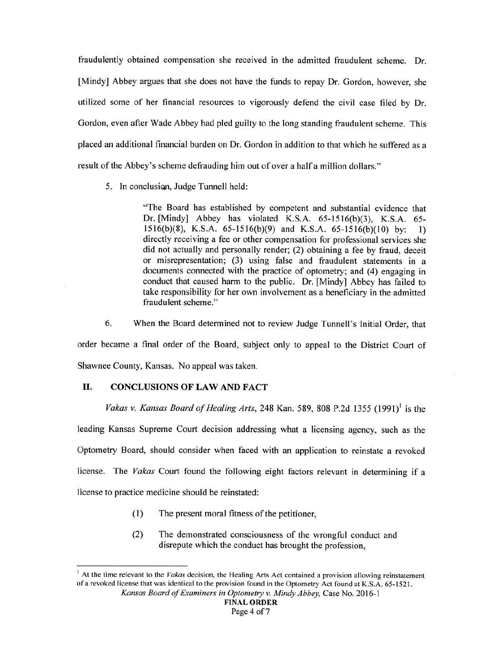fraudulently obtained compensation she received in the admitted fraudulent scheme. Dr. [Mindy] Abbey argues that she does not have the funds to repay Dr. Gordon, however, she utilized some of her financial resources to vigorously defend the civil case filed by Dr. Gordon, even after Wade Abbey had pied guilty to the long standing fraudulent scheme. This placed an additional financial burden on Dr. Gordon in addition to that which he suffered as a result of the Abbey's scheme defrauding him out of over a half a million dollars."

5. In conclusion, Judge Tunnell held:

"The Board has established by competent and substantial evidence that Dr. [Mindy] Abbey has violated K.S.A. 65-1516(b)(3), K.S.A. 65- $1516(b)(8)$ , K.S.A.  $65-1516(b)(9)$  and K.S.A.  $65-1516(b)(10)$  by: 1) directly receiving a fee or other compensation for professional services she did not actually and personally render; (2) obtaining a fee by fraud, deceit or misrepresentation; (3) using false and fraudulent statements in a documents connected with the practice of optometry; and (4) engaging in conduct that caused harm to the public. Dr. [Mindy) Abbey has failed to take responsibility for her own involvement as a beneficiary in the admitted fraudulent scheme."

6. When the Board determined not to review Judge Tunnell's Initial Order, that order became a final order of the Board, subject only to appeal to the District Court of Shawnee County, Kansas. No appeal was taken.

# II. **CONCLUSIONS OF LAW AND FACT**

*Vakas v. Kansas Board of Healing Arts,* 248 Kan. 589, 808 P.2d 1355 (1991)<sup>1</sup> is the leading Kansas Supreme Court decision addressing what a licensing agency, such as the Optometry Board, should consider when faced with an application to reinstate a revoked license. The *Vakas* Court found the following eight factors relevant in determining if a license to practice medicine should be reinstated:

- (I) The present moral fitness of the petitioner,
- (2) The demonstrated consciousness of the wrongful conduct and disrepute which the conduct has brought the profession,

 $<sup>1</sup>$  At the time relevant to the *Vakas* decision, the Healing Arts Act contained a provision allowing reinstatement</sup> of a revoked license that was identical to the provision found in the Optometry Act found at K.S.A. 65-1521.

*Kansas Board of Examiners in Optometry v. Mindy Abbey,* Case No. 2016-1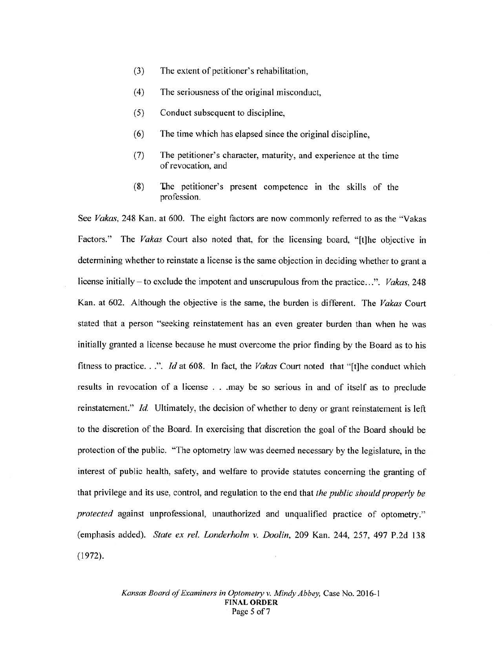- (3) The extent of petitioner's rehabilitation,
- (4) The seriousness of the original misconduct,
- (5) Conduct subsequent to discipline,
- (6) The time which has elapsed since the original discipline,
- (7) The petitioner's character, maturity, and experience at the time of revocation, and
- (8) The petitioner's present competence in the skills of the profession.

See *Vakas,* 248 Kan. at 600. The eight factors are now commonly referred to as the "Vakas Factors." The *Vakas* Court also noted that, for the licensing board, "[t]he objective in determining whether to reinstate a license is the same objection in deciding whether to grant a license initially- to exclude the impotent and unscrupulous from the practice ... ". *Vakas,* 248 Kan. at 602. Although the objective is the same, the burden is different. The *Vakas* Court stated that a person "seeking reinstatement has an even greater burden than when he was initially granted a license because he must overcome the prior finding by the Board as to his fitness to practice. . .". *Id* at 608. In fact, the *Vakas* Court noted that "[t]he conduct which results in revocation of a license . . .may be so serious in and of itself as to preclude reinstatement." *Id.* Ultimately, the decision of whether to deny or grant reinstatement is left to the discretion of the Board. In exercising that discretion the goal of the Board should be protection of the public. "The optometry law was deemed necessary by the legislature, in the interest of public health, safety, and welfare to provide statutes concerning the granting of that privilege and its use, control, and regulation to the end that *the public should properly be protected* against unprofessional, unauthorized and unqualified practice of optometry." (emphasis added). *State ex rel. Londerholm v. Doolin,* 209 Kan. 244, 257, 497 P.2d 138 (1972).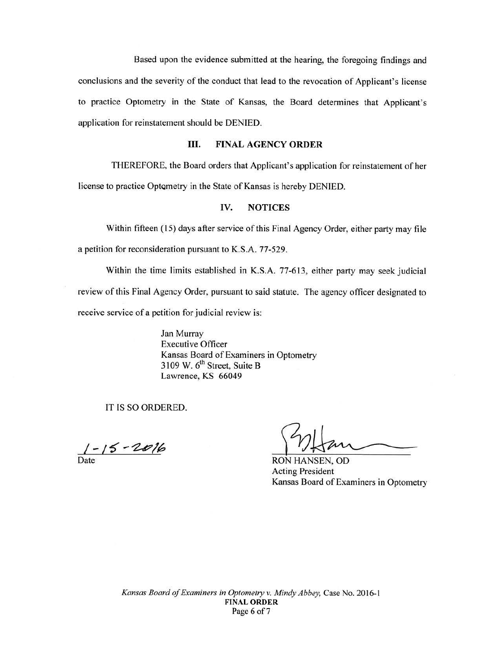Based upon the evidence submitted at the hearing, the foregoing findings and conclusions and the severity of the conduct that lead to the revocation of Applicant's license to practice Optometry in the State of Kansas, the Board determines that Applicant's application for reinstatement should be DENIED.

## III. **FINAL AGENCY ORDER**

THEREFORE, the Board orders that Applicant's application for reinstatement of her license to practice Optometry in the State of Kansas is hereby DENIED.

### **IV. NOTICES**

Within fifteen (15) days after service of this Final Agency Order, either party may file a petition for reconsideration pursuant to K.S.A. 77-529.

Within the time limits established in K.S.A. 77-613, either party may seek judicial review of this Final Agency Order, pursuant to said statute. The agency officer designated to receive service of a petition for judicial review is:

> Jan Murray Executive Officer Kansas Board of Examiners in Optometry 3109 W.  $6^{th}$  Street, Suite B Lawrence, KS 66049

IT IS SO ORDERED.

*I* - !"5' *-'ht?/6* 

Date RON HANSEN, OD Acting President Kansas Board of Examiners in Optometry

*Kansas Board of Examiners in Optometry v. Mindy Abbey,* Case No. 2016-1 **FINAL ORDER**  Page 6 of 7